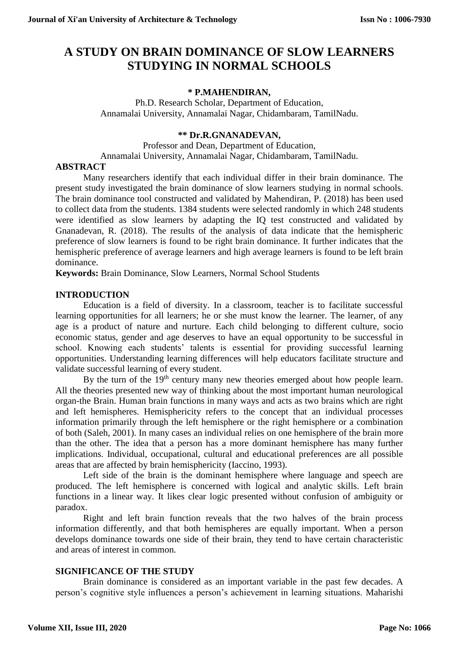# **A STUDY ON BRAIN DOMINANCE OF SLOW LEARNERS STUDYING IN NORMAL SCHOOLS**

# **\* P.MAHENDIRAN,**

Ph.D. Research Scholar, Department of Education, Annamalai University, Annamalai Nagar, Chidambaram, TamilNadu.

# **\*\* Dr.R.GNANADEVAN,**

Professor and Dean, Department of Education, Annamalai University, Annamalai Nagar, Chidambaram, TamilNadu.

## **ABSTRACT**

Many researchers identify that each individual differ in their brain dominance. The present study investigated the brain dominance of slow learners studying in normal schools. The brain dominance tool constructed and validated by Mahendiran, P. (2018) has been used to collect data from the students. 1384 students were selected randomly in which 248 students were identified as slow learners by adapting the IQ test constructed and validated by Gnanadevan, R. (2018). The results of the analysis of data indicate that the hemispheric preference of slow learners is found to be right brain dominance. It further indicates that the hemispheric preference of average learners and high average learners is found to be left brain dominance.

**Keywords:** Brain Dominance, Slow Learners, Normal School Students

## **INTRODUCTION**

Education is a field of diversity. In a classroom, teacher is to facilitate successful learning opportunities for all learners; he or she must know the learner. The learner, of any age is a product of nature and nurture. Each child belonging to different culture, socio economic status, gender and age deserves to have an equal opportunity to be successful in school. Knowing each students' talents is essential for providing successful learning opportunities. Understanding learning differences will help educators facilitate structure and validate successful learning of every student.

By the turn of the 19<sup>th</sup> century many new theories emerged about how people learn. All the theories presented new way of thinking about the most important human neurological organ-the Brain. Human brain functions in many ways and acts as two brains which are right and left hemispheres. Hemisphericity refers to the concept that an individual processes information primarily through the left hemisphere or the right hemisphere or a combination of both (Saleh, 2001). In many cases an individual relies on one hemisphere of the brain more than the other. The idea that a person has a more dominant hemisphere has many further implications. Individual, occupational, cultural and educational preferences are all possible areas that are affected by brain hemisphericity (Iaccino, 1993).

Left side of the brain is the dominant hemisphere where language and speech are produced. The left hemisphere is concerned with logical and analytic skills. Left brain functions in a linear way. It likes clear logic presented without confusion of ambiguity or paradox.

Right and left brain function reveals that the two halves of the brain process information differently, and that both hemispheres are equally important. When a person develops dominance towards one side of their brain, they tend to have certain characteristic and areas of interest in common.

# **SIGNIFICANCE OF THE STUDY**

Brain dominance is considered as an important variable in the past few decades. A person's cognitive style influences a person's achievement in learning situations. Maharishi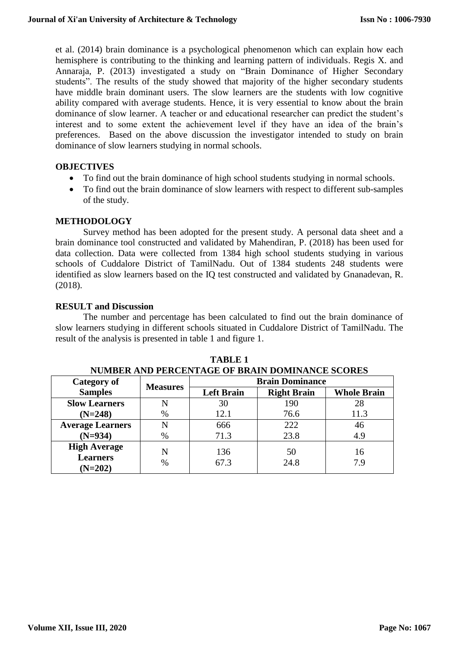et al. (2014) brain dominance is a psychological phenomenon which can explain how each hemisphere is contributing to the thinking and learning pattern of individuals. Regis X. and Annaraja, P. (2013) investigated a study on "Brain Dominance of Higher Secondary students". The results of the study showed that majority of the higher secondary students have middle brain dominant users. The slow learners are the students with low cognitive ability compared with average students. Hence, it is very essential to know about the brain dominance of slow learner. A teacher or and educational researcher can predict the student's interest and to some extent the achievement level if they have an idea of the brain's preferences. Based on the above discussion the investigator intended to study on brain dominance of slow learners studying in normal schools.

## **OBJECTIVES**

- To find out the brain dominance of high school students studying in normal schools.
- To find out the brain dominance of slow learners with respect to different sub-samples of the study.

#### **METHODOLOGY**

Survey method has been adopted for the present study. A personal data sheet and a brain dominance tool constructed and validated by Mahendiran, P. (2018) has been used for data collection. Data were collected from 1384 high school students studying in various schools of Cuddalore District of TamilNadu. Out of 1384 students 248 students were identified as slow learners based on the IQ test constructed and validated by Gnanadevan, R. (2018).

#### **RESULT and Discussion**

The number and percentage has been calculated to find out the brain dominance of slow learners studying in different schools situated in Cuddalore District of TamilNadu. The result of the analysis is presented in table 1 and figure 1.

| Category of                                         |                 | 110111011111111110111110111011 01 Diwiait Domaith 101 0001110<br><b>Brain Dominance</b> |                    |                    |
|-----------------------------------------------------|-----------------|-----------------------------------------------------------------------------------------|--------------------|--------------------|
| <b>Samples</b>                                      | <b>Measures</b> | <b>Left Brain</b>                                                                       | <b>Right Brain</b> | <b>Whole Brain</b> |
| <b>Slow Learners</b>                                | N               | 30                                                                                      | 190                | 28                 |
| $(N=248)$                                           | $\%$            | 12.1                                                                                    | 76.6               | 11.3               |
| <b>Average Learners</b>                             | N               | 666                                                                                     | 222                | 46                 |
| $(N=934)$                                           | $\%$            | 71.3                                                                                    | 23.8               | 4.9                |
| <b>High Average</b><br><b>Learners</b><br>$(N=202)$ | N<br>$\%$       | 136<br>67.3                                                                             | 50<br>24.8         | 16<br>7 9          |

**TABLE 1 NUMBER AND PERCENTAGE OF BRAIN DOMINANCE SCORES**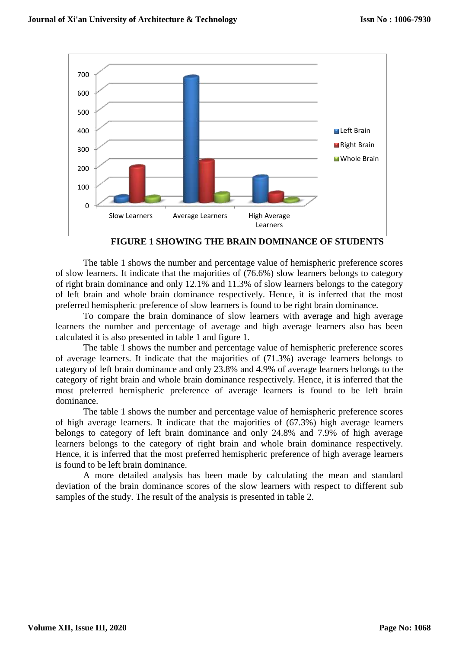

**FIGURE 1 SHOWING THE BRAIN DOMINANCE OF STUDENTS**

The table 1 shows the number and percentage value of hemispheric preference scores of slow learners. It indicate that the majorities of (76.6%) slow learners belongs to category of right brain dominance and only 12.1% and 11.3% of slow learners belongs to the category of left brain and whole brain dominance respectively. Hence, it is inferred that the most preferred hemispheric preference of slow learners is found to be right brain dominance.

To compare the brain dominance of slow learners with average and high average learners the number and percentage of average and high average learners also has been calculated it is also presented in table 1 and figure 1.

The table 1 shows the number and percentage value of hemispheric preference scores of average learners. It indicate that the majorities of (71.3%) average learners belongs to category of left brain dominance and only 23.8% and 4.9% of average learners belongs to the category of right brain and whole brain dominance respectively. Hence, it is inferred that the most preferred hemispheric preference of average learners is found to be left brain dominance.

The table 1 shows the number and percentage value of hemispheric preference scores of high average learners. It indicate that the majorities of (67.3%) high average learners belongs to category of left brain dominance and only 24.8% and 7.9% of high average learners belongs to the category of right brain and whole brain dominance respectively. Hence, it is inferred that the most preferred hemispheric preference of high average learners is found to be left brain dominance.

A more detailed analysis has been made by calculating the mean and standard deviation of the brain dominance scores of the slow learners with respect to different sub samples of the study. The result of the analysis is presented in table 2.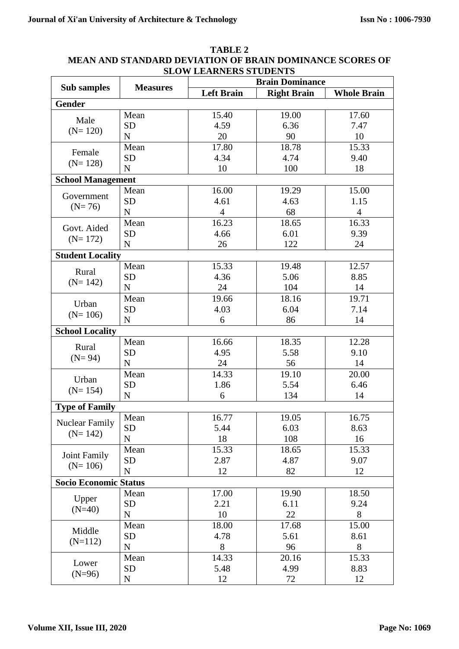|                                    |                 | <u>dluw learnerd diudenid</u> |                        |                    |  |  |  |
|------------------------------------|-----------------|-------------------------------|------------------------|--------------------|--|--|--|
| <b>Sub samples</b>                 | <b>Measures</b> |                               | <b>Brain Dominance</b> |                    |  |  |  |
|                                    |                 | <b>Left Brain</b>             | <b>Right Brain</b>     | <b>Whole Brain</b> |  |  |  |
| <b>Gender</b>                      |                 |                               |                        |                    |  |  |  |
|                                    | Mean            | 15.40                         | 19.00                  | 17.60              |  |  |  |
| Male                               | <b>SD</b>       | 4.59                          | 6.36                   | 7.47               |  |  |  |
| $(N=120)$                          | ${\bf N}$       | 20                            | 90                     | 10                 |  |  |  |
|                                    | Mean            | 17.80                         | 18.78                  | 15.33              |  |  |  |
| Female                             | <b>SD</b>       | 4.34                          | 4.74                   | 9.40               |  |  |  |
| $(N=128)$                          | ${\bf N}$       | 10                            | 100                    | 18                 |  |  |  |
| <b>School Management</b>           |                 |                               |                        |                    |  |  |  |
|                                    | Mean            | 16.00                         | 19.29                  | 15.00              |  |  |  |
| Government<br>$(N=76)$             | <b>SD</b>       | 4.61                          | 4.63                   | 1.15               |  |  |  |
|                                    | ${\bf N}$       | 4                             | 68                     | 4                  |  |  |  |
| Govt. Aided                        | Mean            | 16.23                         | 18.65                  | 16.33              |  |  |  |
|                                    | <b>SD</b>       | 4.66                          | 6.01                   | 9.39               |  |  |  |
| $(N=172)$                          | ${\bf N}$       | 26                            | 122                    | 24                 |  |  |  |
|                                    |                 |                               |                        |                    |  |  |  |
| <b>Student Locality</b>            |                 |                               |                        |                    |  |  |  |
| Rural                              | Mean            | 15.33                         | 19.48                  | 12.57              |  |  |  |
| $(N=142)$                          | <b>SD</b>       | 4.36                          | 5.06                   | 8.85               |  |  |  |
|                                    | $\mathbf N$     | 24                            | 104                    | 14                 |  |  |  |
| Urban<br>$(N=106)$                 | Mean            | 19.66                         | 18.16                  | 19.71              |  |  |  |
|                                    | <b>SD</b>       | 4.03                          | 6.04                   | 7.14               |  |  |  |
|                                    | $\mathbf N$     | 6                             | 86                     | 14                 |  |  |  |
| <b>School Locality</b>             |                 |                               |                        |                    |  |  |  |
| Rural<br>$(N=94)$                  | Mean            | 16.66                         | 18.35                  | 12.28              |  |  |  |
|                                    | <b>SD</b>       | 4.95                          | 5.58                   | 9.10               |  |  |  |
|                                    | ${\bf N}$       | 24                            | 56                     | 14                 |  |  |  |
|                                    | Mean            | 14.33                         | 19.10                  | 20.00              |  |  |  |
| Urban<br>$(N=154)$                 | <b>SD</b>       | 1.86                          | 5.54                   | 6.46               |  |  |  |
|                                    | ${\bf N}$       | 6                             | 134                    | 14                 |  |  |  |
| <b>Type of Family</b>              |                 |                               |                        |                    |  |  |  |
| <b>Nuclear Family</b><br>$(N=142)$ | Mean            | 16.77                         | 19.05                  | 16.75              |  |  |  |
|                                    | <b>SD</b>       | 5.44                          | 6.03                   | 8.63               |  |  |  |
|                                    | ${\bf N}$       | 18                            | 108                    | 16                 |  |  |  |
|                                    | Mean            | 15.33                         | 18.65                  | 15.33              |  |  |  |
| <b>Joint Family</b>                | <b>SD</b>       | 2.87                          | 4.87                   | 9.07               |  |  |  |
| $(N=106)$                          | $\mathbf N$     | 12                            | 82                     | 12                 |  |  |  |
| <b>Socio Economic Status</b>       |                 |                               |                        |                    |  |  |  |
|                                    | Mean            | 17.00                         | 19.90                  | 18.50              |  |  |  |
| Upper                              | <b>SD</b>       | 2.21                          | 6.11                   | 9.24               |  |  |  |
| $(N=40)$                           | ${\bf N}$       | 10                            | 22                     | $8\,$              |  |  |  |
| Middle<br>$(N=112)$                | Mean            | 18.00                         | 17.68                  | 15.00              |  |  |  |
|                                    | <b>SD</b>       | 4.78                          | 5.61                   | 8.61               |  |  |  |
|                                    | ${\bf N}$       | 8                             | 96                     | 8                  |  |  |  |
|                                    | Mean            | 14.33                         | 20.16                  | 15.33              |  |  |  |
| Lower                              | <b>SD</b>       |                               | 4.99                   |                    |  |  |  |
| $(N=96)$                           |                 | 5.48                          |                        | 8.83               |  |  |  |
|                                    | $\mathbf N$     | 12                            | 72                     | 12                 |  |  |  |

## **TABLE 2 MEAN AND STANDARD DEVIATION OF BRAIN DOMINANCE SCORES OF SLOW LEARNERS STUDENTS**